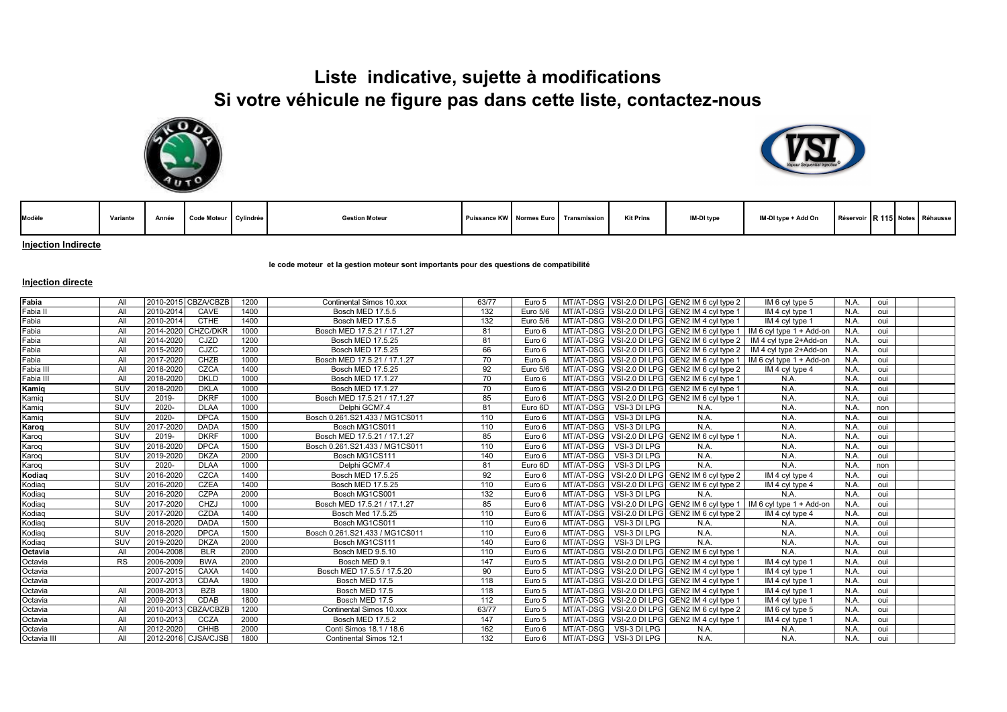## **Liste indicative, sujette à modifications Si votre véhicule ne figure pas dans cette liste, contactez-nous**





| Modèle | Variante |  | Année Code Moteur Cylindrée |  | <b>Gestion Moteur</b> |  |  | Puissance KW Normes Euro Transmission | Kit Prins | IM-DI type | IM-DI type + Add On | Réservoir R 115 Notes Réhausse |  |  |  |  |
|--------|----------|--|-----------------------------|--|-----------------------|--|--|---------------------------------------|-----------|------------|---------------------|--------------------------------|--|--|--|--|
|--------|----------|--|-----------------------------|--|-----------------------|--|--|---------------------------------------|-----------|------------|---------------------|--------------------------------|--|--|--|--|

**Injection Indirecte**

**le code moteur et la gestion moteur sont importants pour des questions de compatibilité** 

## **Injection directe**

| Fabia       | All        |           | 2010-2015 CBZA/CBZB | 1200 | Continental Simos 10.xxx       | 63/77 | Euro 5   |           |                        | MT/AT-DSG VSI-2.0 DI LPG GEN2 IM 6 cyl type 2 | IM 6 cyl type 5                                                            | N.A  | oui |  |
|-------------|------------|-----------|---------------------|------|--------------------------------|-------|----------|-----------|------------------------|-----------------------------------------------|----------------------------------------------------------------------------|------|-----|--|
| Fabia II    | All        | 2010-2014 | CAVE                | 1400 | Bosch MED 17.5.5               | 132   | Euro 5/6 |           |                        | MT/AT-DSG VSI-2.0 DI LPG GEN2 IM 4 cvl type 1 | IM 4 cyl type 1                                                            | N.A  | oui |  |
| Fabia       | All        | 2010-2014 | <b>CTHE</b>         | 1400 | Bosch MED 17.5.5               | 132   | Euro 5/6 |           |                        | MT/AT-DSG VSI-2.0 DI LPG GEN2 IM 4 cyl type 1 | IM 4 cyl type 1                                                            | N.A  | oui |  |
| Fabia       | All        | 2014-2020 | CHZC/DKR            | 1000 | Bosch MED 17.5.21 / 17.1.27    | 81    | Euro 6   |           |                        |                                               | MT/AT-DSG VSI-2.0 DI LPG GEN2 IM 6 cyl type 1   IM 6 cyl type 1 + Add-on   | N.A  | oui |  |
| Fabia       | All        | 2014-2020 | CJZD                | 1200 | Bosch MED 17.5.25              | 81    | Euro 6   |           |                        |                                               | MT/AT-DSG   VSI-2.0 DI LPG   GEN2 IM 6 cyl type 2   IM 4 cyl type 2+Add-on | N.A  | oui |  |
| Fabia       | All        | 2015-2020 | CJZC                | 1200 | Bosch MED 17.5.25              | 66    | Euro 6   |           |                        |                                               | MT/AT-DSG VSI-2.0 DI LPG GEN2 IM 6 cyl type 2   IM 4 cyl type 2+Add-on     | N.A  | oui |  |
| Fabia       | All        | 2017-2020 | CHZB                | 1000 | Bosch MED 17.5.21 / 17.1.27    | 70    | Euro 6   |           |                        |                                               | MT/AT-DSG VSI-2.0 DI LPG GEN2 IM 6 cyl type 1   IM 6 cyl type 1 + Add-on   | N.A  | oui |  |
| Fabia II    | All        | 2018-2020 | CZCA                | 1400 | Bosch MED 17.5.25              | 92    | Euro 5/6 |           |                        | MT/AT-DSG VSI-2.0 DI LPG GEN2 IM 6 cyl type 2 | IM 4 cyl type 4                                                            | N.A  | oui |  |
| Fabia III   | All        | 2018-2020 | <b>DKLD</b>         | 1000 | Bosch MED 17.1.27              | 70    | Euro 6   |           |                        | MT/AT-DSG VSI-2.0 DI LPG GEN2 IM 6 cyl type 1 | N.A.                                                                       | N.A  | oui |  |
| Kamig       | SUV        | 2018-2020 | <b>DKLA</b>         | 1000 | Bosch MED 17.1.27              | 70    | Euro 6   |           |                        | MT/AT-DSG VSI-2.0 DI LPG GEN2 IM 6 cyl type 1 | N.A.                                                                       | N.A  | oui |  |
| Kamig       | SUV        | 2019-     | <b>DKRF</b>         | 1000 | Bosch MED 17.5.21 / 17.1.27    | 85    | Euro 6   |           |                        | MT/AT-DSG VSI-2.0 DI LPG GEN2 IM 6 cvl type 1 | N.A.                                                                       | N.A. | oui |  |
| Kamig       | SUV        | 2020-     | <b>DLAA</b>         | 1000 | Delphi GCM7.4                  | 81    | Euro 6D  | MT/AT-DSG | VSI-3 DI LPG           | N.A.                                          | N.A.                                                                       | N.A. | non |  |
| Kamig       | SUV        | 2020-     | <b>DPCA</b>         | 1500 | Bosch 0.261.S21.433 / MG1CS011 | 110   | Euro 6   | MT/AT-DSG | VSI-3 DI LPG           | N.A.                                          | N.A.                                                                       | N.A  | oui |  |
| Karog       | SUV        | 2017-2020 | <b>DADA</b>         | 1500 | Bosch MG1CS011                 | 110   | Euro 6   | MT/AT-DSG | VSI-3 DI LPG           | N.A                                           | N.A.                                                                       | N.A  | oui |  |
| Karog       | SUV        | 2019-     | <b>DKRF</b>         | 1000 | Bosch MED 17.5.21 / 17.1.27    | 85    | Euro 6   |           |                        | MT/AT-DSG VSI-2.0 DI LPG GEN2 IM 6 cyl type 1 | N.A.                                                                       | N.A  | oui |  |
| Karog       | SUV        | 2018-2020 | <b>DPCA</b>         | 1500 | Bosch 0.261.S21.433 / MG1CS011 | 110   | Euro 6   | MT/AT-DSG | VSI-3 DI LPG           | N.A.                                          | N.A.                                                                       | N.A  | oui |  |
| Karog       | <b>SUV</b> | 2019-2020 | <b>DKZA</b>         | 2000 | Bosch MG1CS111                 | 140   | Euro 6   | MT/AT-DSG | VSI-3 DI LPG           | N.A                                           | N.A.                                                                       | N.A  | oui |  |
| Karog       | SUV        | 2020-     | <b>DLAA</b>         | 1000 | Delphi GCM7.4                  | 81    | Euro 6D  | MT/AT-DSG | VSI-3 DI LPG           | N.A.                                          | N.A.                                                                       | N.A  | non |  |
| Kodiag      | SUV        | 2016-2020 | CZCA                | 1400 | Bosch MED 17.5.25              | 92    | Euro 6   |           |                        | MT/AT-DSG VSI-2.0 DI LPG GEN2 IM 6 cyl type 2 | IM 4 cyl type 4                                                            | N.A  | oui |  |
| Kodiag      | SUV        | 2016-2020 | <b>CZEA</b>         | 1400 | Bosch MED 17.5.25              | 110   | Euro 6   |           |                        | MT/AT-DSG VSI-2.0 DI LPG GEN2 IM 6 cyl type 2 | IM 4 cyl type 4                                                            | N.A  | oui |  |
| Kodiag      | SUV        | 2016-2020 | CZPA                | 2000 | Bosch MG1CS001                 | 132   | Euro 6   |           | MT/AT-DSG VSI-3 DI LPG | N.A.                                          | N.A.                                                                       | N.A. | oui |  |
| Kodiag      | SUV        | 2017-2020 | CHZJ                | 1000 | Bosch MED 17.5.21 / 17.1.27    | 85    | Euro 6   |           |                        |                                               | MT/AT-DSG VSI-2.0 DI LPG GEN2 IM 6 cyl type 1   IM 6 cyl type 1 + Add-on   | N.A  | oui |  |
| Kodiag      | SUV        | 2017-2020 | CZDA                | 1400 | Bosch Med 17.5.25              | 110   | Euro 6   |           |                        | MT/AT-DSG VSI-2.0 DI LPG GEN2 IM 6 cyl type 2 | IM 4 cyl type 4                                                            | N.A  | oui |  |
| Kodiag      | SUV        | 2018-2020 | <b>DADA</b>         | 1500 | Bosch MG1CS011                 | 110   | Euro 6   |           | MT/AT-DSG VSI-3 DI LPG | N.A.                                          | N.A.                                                                       | N.A  | oui |  |
| Kodiag      | SUV        | 2018-2020 | <b>DPCA</b>         | 1500 | Bosch 0.261.S21.433 / MG1CS011 | 110   | Euro 6   |           | MT/AT-DSG VSI-3 DI LPG | N.A.                                          | N.A.                                                                       | N.A  | oui |  |
| Kodiag      | <b>SUV</b> | 2019-2020 | <b>DKZA</b>         | 2000 | Bosch MG1CS111                 | 140   | Euro 6   |           | MT/AT-DSG VSI-3 DI LPG | N.A                                           | N.A.                                                                       | N.A  | oui |  |
| Octavia     | All        | 2004-2008 | <b>BLR</b>          | 2000 | Bosch MED 9.5.10               | 110   | Euro 6   |           |                        | MT/AT-DSG VSI-2.0 DI LPG GEN2 IM 6 cyl type 1 | N.A.                                                                       | N.A  | oui |  |
| Octavia     | RS         | 2006-2009 | <b>BWA</b>          | 2000 | Bosch MED 9.1                  | 147   | Euro 5   |           |                        | MT/AT-DSG VSI-2.0 DI LPG GEN2 IM 4 cyl type 1 | IM 4 cyl type 1                                                            | N.A. | oui |  |
| Octavia     |            | 2007-2015 | CAXA                | 1400 | Bosch MED 17.5.5 / 17.5.20     | 90    | Euro 5   |           |                        | MT/AT-DSG VSI-2.0 DI LPG GEN2 IM 4 cvl type 1 | IM 4 cyl type 1                                                            | N.A. | oui |  |
| Octavia     |            | 2007-2013 | CDAA                | 1800 | Bosch MED 17.5                 | 118   | Euro 5   |           |                        | MT/AT-DSG VSI-2.0 DI LPG GEN2 IM 4 cyl type 1 | IM 4 cyl type 1                                                            | N.A. | oui |  |
| Octavia     | All        | 2008-2013 | <b>BZB</b>          | 1800 | Bosch MED 17.5                 | 118   | Euro 5   |           |                        | MT/AT-DSG VSI-2.0 DI LPG GEN2 IM 4 cyl type 1 | IM 4 cyl type 1                                                            | N.A  | oui |  |
| Octavia     | All        | 2009-2013 | CDAB                | 1800 | Bosch MED 17.5                 | 112   | Euro 5   |           |                        | MT/AT-DSG VSI-2.0 DI LPG GEN2 IM 4 cyl type 1 | IM 4 cyl type 1                                                            | N.A  | oui |  |
| Octavia     | All        |           | 2010-2013 CBZA/CBZB | 1200 | Continental Simos 10.xxx       | 63/77 | Euro 5   |           |                        | MT/AT-DSG VSI-2.0 DI LPG GEN2 IM 6 cvl type 2 | IM 6 cyl type 5                                                            | N.A. | oui |  |
| Octavia     | All        | 2010-2013 | CCZA                | 2000 | <b>Bosch MED 17.5.2</b>        | 147   | Euro 5   |           |                        | MT/AT-DSG VSI-2.0 DI LPG GEN2 IM 4 cyl type 1 | IM 4 cyl type 1                                                            | N.A. | oui |  |
| Octavia     | All        | 2012-2020 | <b>CHHB</b>         | 2000 | Conti Simos 18.1 / 18.6        | 162   | Euro 6   | MT/AT-DSG | VSI-3 DI LPG           | N.A.                                          | N.A.                                                                       | N.A  | oui |  |
| Octavia III | All        |           | 2012-2016 CJSA/CJSB | 1800 | Continental Simos 12.1         | 132   | Euro 6   |           | MT/AT-DSG VSI-3 DI LPG | N.A.                                          | N.A.                                                                       | N.A  | oui |  |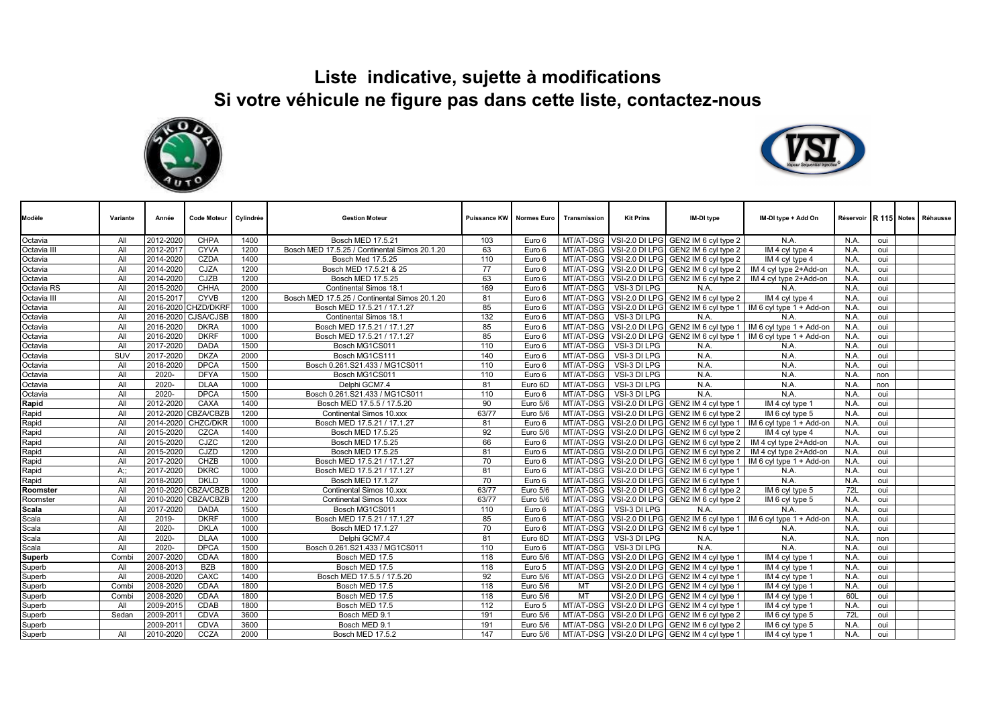## **Liste indicative, sujette à modifications Si votre véhicule ne figure pas dans cette liste, contactez-nous**





| Modèle        | Variante | Année     | <b>Code Moteur</b> | Cylindrée | <b>Gestion Moteur</b>                         |       | <b>Puissance KW Normes Euro</b> | Transmission | <b>Kit Prins</b>       | IM-DI type                                        | IM-DI type + Add On                                                          |            |     | Réservoir R 115 Notes Réhausse |
|---------------|----------|-----------|--------------------|-----------|-----------------------------------------------|-------|---------------------------------|--------------|------------------------|---------------------------------------------------|------------------------------------------------------------------------------|------------|-----|--------------------------------|
| Octavia       | All      | 2012-2020 | <b>CHPA</b>        | 1400      | Bosch MED 17.5.21                             | 103   | Euro 6                          |              |                        | MT/AT-DSG VSI-2.0 DI LPG GEN2 IM 6 cyl type 2     | N.A.                                                                         | N.A        | oui |                                |
| Octavia III   | All      | 2012-2017 | <b>CYVA</b>        | 1200      | Bosch MED 17.5.25 / Continental Simos 20.1.20 | 63    | Euro 6                          |              |                        | MT/AT-DSG VSI-2.0 DI LPG GEN2 IM 6 cyl type 2     | IM 4 cyl type 4                                                              | N.A        | oui |                                |
| Octavia       | All      | 2014-2020 | <b>CZDA</b>        | 1400      | Bosch Med 17.5.25                             | 110   | Euro 6                          |              |                        | MT/AT-DSG VSI-2.0 DI LPG GEN2 IM 6 cyl type 2     | IM 4 cyl type 4                                                              | N.A.       | oui |                                |
| Octavia       | All      | 2014-2020 | CJZA               | 1200      | Bosch MED 17.5.21 & 25                        | 77    | Euro 6                          |              |                        |                                                   | MT/AT-DSG VSI-2.0 DI LPG GEN2 IM 6 cvl type 2   IM 4 cvl type 2+Add-on       | N.A        | oui |                                |
| Octavia       | All      | 2014-2020 | CJZB               | 1200      | Bosch MED 17.5.25                             | 63    | Euro 6                          |              |                        |                                                   | MT/AT-DSG VSI-2.0 DI LPG GEN2 IM 6 cyl type 2   IM 4 cyl type 2+Add-on       | N.A        | oui |                                |
| Octavia RS    | All      | 2015-2020 | CHHA               | 2000      | Continental Simos 18.1                        | 169   | Euro 6                          |              | MT/AT-DSG VSI-3 DI LPG | N.A                                               | N.A                                                                          | N.A        | oui |                                |
| Octavia III   | All      | 2015-2017 | <b>CYVB</b>        | 1200      | Bosch MED 17.5.25 / Continental Simos 20.1.20 | 81    | Euro 6                          |              |                        | MT/AT-DSG VSI-2.0 DI LPG GEN2 IM 6 cyl type 2     | IM 4 cyl type 4                                                              | N.A        | oui |                                |
| Octavia       | All      | 2016-2020 | <b>CHZD/DKRF</b>   | 1000      | Bosch MED 17.5.21 / 17.1.27                   | 85    | Euro 6                          |              |                        |                                                   | MT/AT-DSG   VSI-2.0 DI LPG   GEN2 IM 6 cyl type 1   IM 6 cyl type 1 + Add-on | N.A        | oui |                                |
| Octavia       | All      | 2016-2020 | <b>CJSA/CJSB</b>   | 1800      | Continental Simos 18.1                        | 132   | Euro 6                          | MT/AT-DSG    | VSI-3 DI LPG           | N.A.                                              | N.A                                                                          | N.A        | oui |                                |
| Octavia       | All      | 2016-2020 | DKRA               | 1000      | Bosch MED 17.5.21 / 17.1.27                   | 85    | Euro 6                          |              |                        |                                                   | MT/AT-DSG   VSI-2.0 DI LPG   GEN2 IM 6 cyl type 1   IM 6 cyl type 1 + Add-on | N.A.       | oui |                                |
| Octavia       | All      | 2016-2020 | <b>DKRF</b>        | 1000      | Bosch MED 17.5.21 / 17.1.27                   | 85    | Euro 6                          |              |                        |                                                   | MT/AT-DSG VSI-2.0 DI LPG GEN2 IM 6 cyl type 1   IM 6 cyl type 1 + Add-on     | N.A.       | oui |                                |
| Octavia       | All      | 2017-2020 | <b>DADA</b>        | 1500      | Bosch MG1CS011                                | 110   | Euro 6                          | MT/AT-DSG    | VSI-3 DI LPG           | N.A.                                              | N.A                                                                          | N.A        | oui |                                |
| Octavia       | SUV      | 2017-2020 | <b>DKZA</b>        | 2000      | Bosch MG1CS111                                | 140   | Euro 6                          | MT/AT-DSG    | VSI-3 DI LPG           | N.A                                               | N.A                                                                          | N.A        | oui |                                |
| Octavia       | All      | 2018-2020 | <b>DPCA</b>        | 1500      | Bosch 0.261.S21.433 / MG1CS011                | 110   | Euro 6                          | MT/AT-DSG    | VSI-3 DI LPG           | N.A.                                              | N.A                                                                          | N.A.       | oui |                                |
| Octavia       | All      | 2020-     | <b>DFYA</b>        | 1500      | Bosch MG1CS011                                | 110   | Euro 6                          | MT/AT-DSG    | VSI-3 DI LPG           | N.A                                               | N.A                                                                          | N.A        | non |                                |
| Octavia       | All      | 2020-     | <b>DLAA</b>        | 1000      | Delphi GCM7.4                                 | 81    | Euro 6D                         | MT/AT-DSG    | VSI-3 DI LPG           | N.A.                                              | N.A                                                                          | N.A        | non |                                |
| Octavia       | All      | 2020-     | <b>DPCA</b>        | 1500      | Bosch 0.261.S21.433 / MG1CS011                | 110   | Euro 6                          | MT/AT-DSG    | VSI-3 DI LPG           | N.A.                                              | N.A                                                                          | N.A.       | oui |                                |
| Rapid         | All      | 2012-2020 | CAXA               | 1400      | Bosch MED 17.5.5 / 17.5.20                    | 90    | Euro 5/6                        |              |                        | MT/AT-DSG VSI-2.0 DI LPG GEN2 IM 4 cyl type 1     | IM 4 cyl type 1                                                              | N.A        | oui |                                |
| Rapid         | All      | 2012-2020 | <b>CBZA/CBZB</b>   | 1200      | Continental Simos 10.xxx                      | 63/77 | Euro 5/6                        |              |                        | MT/AT-DSG VSI-2.0 DI LPG GEN2 IM 6 cyl type 2     | IM 6 cyl type 5                                                              | N.A        | oui |                                |
| Rapid         | All      | 2014-2020 | CHZC/DKR           | 1000      | Bosch MED 17.5.21 / 17.1.27                   | 81    | Euro 6                          |              |                        |                                                   | MT/AT-DSG VSI-2.0 DI LPG GEN2 IM 6 cyl type 1   IM 6 cyl type 1 + Add-on     | N.A        | oui |                                |
| Rapid         | All      | 2015-2020 | CZCA               | 1400      | Bosch MED 17.5.25                             | 92    | Euro 5/6                        |              |                        | MT/AT-DSG VSI-2.0 DI LPG GEN2 IM 6 cyl type 2     | IM 4 cyl type 4                                                              | N.A        | oui |                                |
| Rapid         | All      | 2015-2020 | CJZC               | 1200      | Bosch MED 17.5.25                             | 66    | Euro 6                          |              |                        |                                                   | MT/AT-DSG VSI-2.0 DI LPG GEN2 IM 6 cyl type 2   IM 4 cyl type 2+Add-on       | N.A        | oui |                                |
| Rapid         | All      | 2015-2020 | CJZD               | 1200      | Bosch MED 17.5.25                             | 81    | Euro 6                          |              |                        |                                                   | MT/AT-DSG VSI-2.0 DI LPG GEN2 IM 6 cyl type 2   IM 4 cyl type 2+Add-on       | N.A        | oui |                                |
| Rapid         | All      | 2017-2020 | CHZB               | 1000      | Bosch MED 17.5.21 / 17.1.27                   | 70    | Euro 6                          |              |                        |                                                   | MT/AT-DSG VSI-2.0 DI LPG GEN2 IM 6 cyl type 1   IM 6 cyl type 1 + Add-on     | N.A        | oui |                                |
| Rapid         | $A$ ::   | 2017-2020 | <b>DKRC</b>        | 1000      | Bosch MED 17.5.21 / 17.1.27                   | 81    | Euro 6                          |              |                        | MT/AT-DSG   VSI-2.0 DI LPG   GEN2 IM 6 cyl type 1 | N.A                                                                          | N.A        | oui |                                |
| Rapid         | All      | 2018-2020 | <b>DKLD</b>        | 1000      | Bosch MED 17.1.27                             | 70    | Euro 6                          |              |                        | MT/AT-DSG   VSI-2.0 DI LPG   GEN2 IM 6 cyl type 1 | N.A                                                                          | N.A        | oui |                                |
| Roomster      | All      | 2010-2020 | <b>CBZA/CBZB</b>   | 1200      | Continental Simos 10.xxx                      | 63/77 | Euro 5/6                        |              |                        | MT/AT-DSG VSI-2.0 DI LPG GEN2 IM 6 cyl type 2     | IM 6 cyl type 5                                                              | <b>72L</b> | oui |                                |
| Roomster      | All      | 2010-2020 | <b>CBZA/CBZB</b>   | 1200      | Continental Simos 10.xxx                      | 63/77 | Euro 5/6                        |              |                        | MT/AT-DSG VSI-2.0 DI LPG GEN2 IM 6 cyl type 2     | IM 6 cyl type 5                                                              | N.A.       | oui |                                |
| Scala         | All      | 2017-2020 | <b>DADA</b>        | 1500      | Bosch MG1CS011                                | 110   | Euro 6                          | MT/AT-DSG    | VSI-3 DI LPG           | N.A.                                              | N.A                                                                          | N.A.       | oui |                                |
| Scala         | All      | 2019-     | <b>DKRF</b>        | 1000      | Bosch MED 17.5.21 / 17.1.27                   | 85    | Euro 6                          |              |                        |                                                   | MT/AT-DSG VSI-2.0 DI LPG GEN2 IM 6 cyl type 1   IM 6 cyl type 1 + Add-on     | N.A.       | oui |                                |
| Scala         | All      | 2020-     | <b>DKLA</b>        | 1000      | Bosch MED 17.1.27                             | 70    | Euro 6                          |              |                        | MT/AT-DSG VSI-2.0 DI LPG GEN2 IM 6 cvl type 1     | N.A.                                                                         | N.A        | oui |                                |
| Scala         | All      | 2020-     | <b>DLAA</b>        | 1000      | Delphi GCM7.4                                 | 81    | Euro 6D                         | MT/AT-DSG    | VSI-3 DI LPG           | N.A.                                              | N.A.                                                                         | N.A        | non |                                |
| Scala         | All      | 2020-     | <b>DPCA</b>        | 1500      | Bosch 0.261.S21.433 / MG1CS011                | 110   | Euro 6                          | MT/AT-DSG    | VSI-3 DI LPG           | N.A.                                              | N.A                                                                          | N.A        | oui |                                |
| <b>Superb</b> | Combi    | 2007-2020 | CDAA               | 1800      | Bosch MED 17.5                                | 118   | Euro 5/6                        |              |                        | MT/AT-DSG VSI-2.0 DI LPG GEN2 IM 4 cyl type 1     | IM 4 cyl type 1                                                              | N.A        | oui |                                |
| Superb        | All      | 2008-2013 | <b>BZB</b>         | 1800      | Bosch MED 17.5                                | 118   | Euro 5                          |              |                        | MT/AT-DSG VSI-2.0 DI LPG GEN2 IM 4 cvl type 1     | IM 4 cyl type 1                                                              | N.A        | oui |                                |
| Superb        | All      | 2008-2020 | CAXC               | 1400      | Bosch MED 17.5.5 / 17.5.20                    | 92    | Euro 5/6                        |              |                        | MT/AT-DSG VSI-2.0 DI LPG GEN2 IM 4 cyl type 1     | IM 4 cyl type 1                                                              | N.A.       | oui |                                |
| Superb        | Combi    | 2008-2020 | <b>CDAA</b>        | 1800      | Bosch MED 17.5                                | 118   | Euro 5/6                        | MT           |                        | VSI-2.0 DI LPG GEN2 IM 4 cyl type 1               | IM 4 cyl type 1                                                              | N.A        | oui |                                |
| Superb        | Combi    | 2008-2020 | CDAA               | 1800      | Bosch MED 17.5                                | 118   | Euro 5/6                        | MT           |                        | VSI-2.0 DI LPG GEN2 IM 4 cyl type 1               | IM 4 cyl type 1                                                              | 60L        | oui |                                |
| Superb        | All      | 2009-2015 | <b>CDAB</b>        | 1800      | Bosch MED 17.5                                | 112   | Euro 5                          |              |                        | MT/AT-DSG   VSI-2.0 DI LPG   GEN2 IM 4 cyl type 1 | IM 4 cyl type 1                                                              | N.A.       | oui |                                |
| Superb        | Sedan    | 2009-201  | <b>CDVA</b>        | 3600      | Bosch MED 9.1                                 | 191   | Euro 5/6                        |              |                        | MT/AT-DSG VSI-2.0 DI LPG GEN2 IM 6 cvl type 2     | IM 6 cyl type 5                                                              | <b>72L</b> | oui |                                |
| Superb        |          | 2009-201  | <b>CDVA</b>        | 3600      | Bosch MED 9.1                                 | 191   | Euro 5/6                        |              |                        | MT/AT-DSG VSI-2.0 DI LPG GEN2 IM 6 cvl type 2     | IM 6 cyl type 5                                                              | N.A        | oui |                                |
| Superb        | All      | 2010-2020 | CCZA               | 2000      | Bosch MED 17.5.2                              | 147   | Euro 5/6                        |              |                        | MT/AT-DSG VSI-2.0 DI LPG GEN2 IM 4 cyl type 1     | IM 4 cyl type 1                                                              | N.A        | oui |                                |